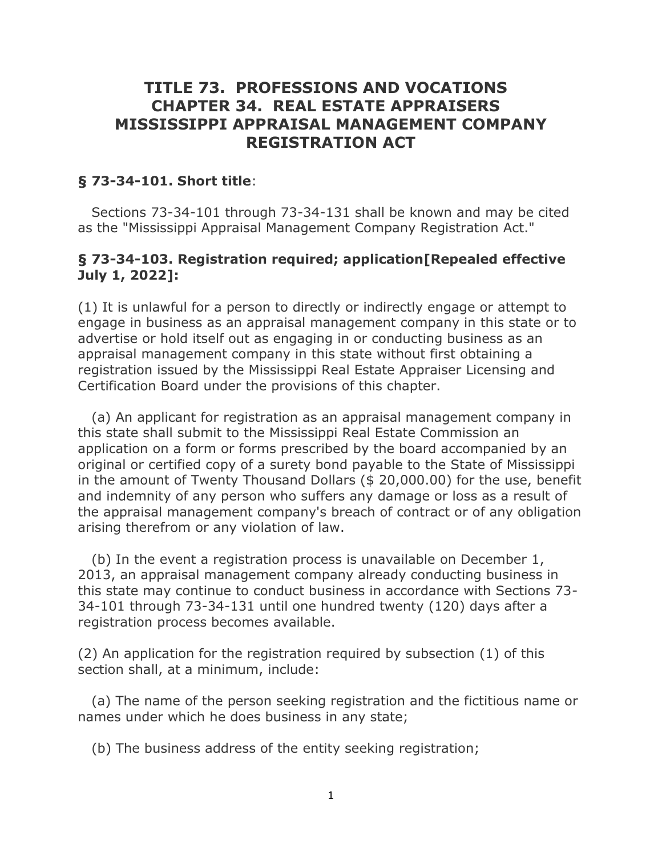# **TITLE 73. PROFESSIONS AND VOCATIONS CHAPTER 34. REAL ESTATE APPRAISERS MISSISSIPPI APPRAISAL MANAGEMENT COMPANY REGISTRATION ACT**

#### **§ 73-34-101. Short title**:

 Sections 73-34-101 through 73-34-131 shall be known and may be cited as the "Mississippi Appraisal Management Company Registration Act."

#### **§ 73-34-103. Registration required; application[Repealed effective July 1, 2022]:**

(1) It is unlawful for a person to directly or indirectly engage or attempt to engage in business as an appraisal management company in this state or to advertise or hold itself out as engaging in or conducting business as an appraisal management company in this state without first obtaining a registration issued by the Mississippi Real Estate Appraiser Licensing and Certification Board under the provisions of this chapter.

 (a) An applicant for registration as an appraisal management company in this state shall submit to the Mississippi Real Estate Commission an application on a form or forms prescribed by the board accompanied by an original or certified copy of a surety bond payable to the State of Mississippi in the amount of Twenty Thousand Dollars (\$ 20,000.00) for the use, benefit and indemnity of any person who suffers any damage or loss as a result of the appraisal management company's breach of contract or of any obligation arising therefrom or any violation of law.

 (b) In the event a registration process is unavailable on December 1, 2013, an appraisal management company already conducting business in this state may continue to conduct business in accordance with Sections 73- 34-101 through 73-34-131 until one hundred twenty (120) days after a registration process becomes available.

(2) An application for the registration required by subsection (1) of this section shall, at a minimum, include:

 (a) The name of the person seeking registration and the fictitious name or names under which he does business in any state;

(b) The business address of the entity seeking registration;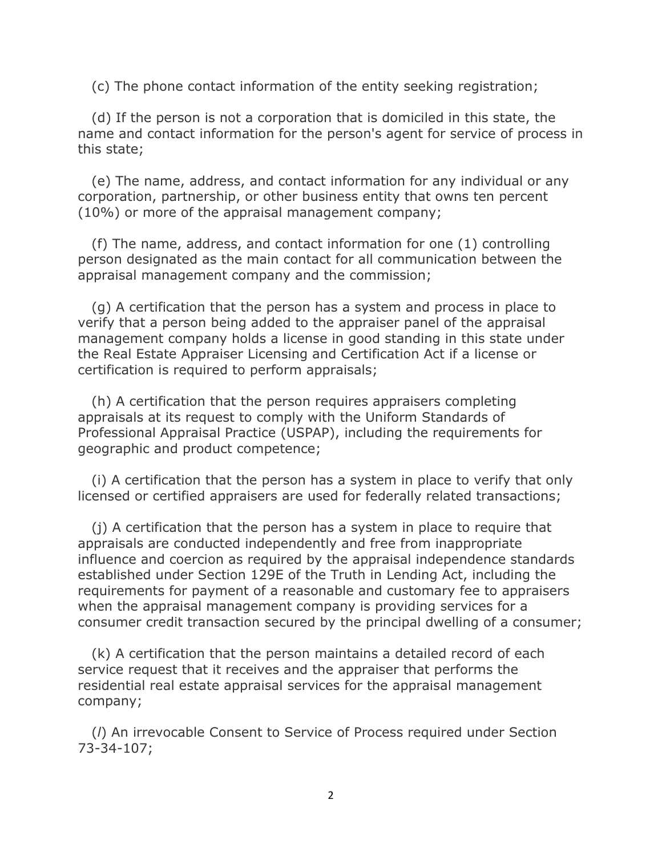(c) The phone contact information of the entity seeking registration;

 (d) If the person is not a corporation that is domiciled in this state, the name and contact information for the person's agent for service of process in this state;

 (e) The name, address, and contact information for any individual or any corporation, partnership, or other business entity that owns ten percent (10%) or more of the appraisal management company;

 (f) The name, address, and contact information for one (1) controlling person designated as the main contact for all communication between the appraisal management company and the commission;

 (g) A certification that the person has a system and process in place to verify that a person being added to the appraiser panel of the appraisal management company holds a license in good standing in this state under the Real Estate Appraiser Licensing and Certification Act if a license or certification is required to perform appraisals;

 (h) A certification that the person requires appraisers completing appraisals at its request to comply with the Uniform Standards of Professional Appraisal Practice (USPAP), including the requirements for geographic and product competence;

 (i) A certification that the person has a system in place to verify that only licensed or certified appraisers are used for federally related transactions;

 (j) A certification that the person has a system in place to require that appraisals are conducted independently and free from inappropriate influence and coercion as required by the appraisal independence standards established under Section 129E of the Truth in Lending Act, including the requirements for payment of a reasonable and customary fee to appraisers when the appraisal management company is providing services for a consumer credit transaction secured by the principal dwelling of a consumer;

 (k) A certification that the person maintains a detailed record of each service request that it receives and the appraiser that performs the residential real estate appraisal services for the appraisal management company;

 (*l*) An irrevocable Consent to Service of Process required under Section 73-34-107;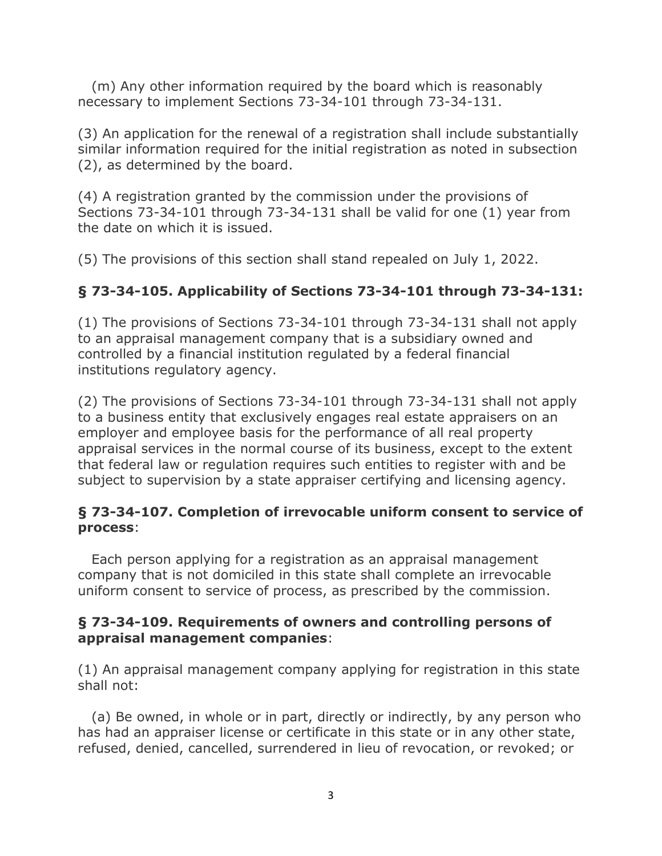(m) Any other information required by the board which is reasonably necessary to implement Sections 73-34-101 through 73-34-131.

(3) An application for the renewal of a registration shall include substantially similar information required for the initial registration as noted in subsection (2), as determined by the board.

(4) A registration granted by the commission under the provisions of Sections 73-34-101 through 73-34-131 shall be valid for one (1) year from the date on which it is issued.

(5) The provisions of this section shall stand repealed on July 1, 2022.

# **§ 73-34-105. Applicability of Sections 73-34-101 through 73-34-131:**

(1) The provisions of Sections 73-34-101 through 73-34-131 shall not apply to an appraisal management company that is a subsidiary owned and controlled by a financial institution regulated by a federal financial institutions regulatory agency.

(2) The provisions of Sections 73-34-101 through 73-34-131 shall not apply to a business entity that exclusively engages real estate appraisers on an employer and employee basis for the performance of all real property appraisal services in the normal course of its business, except to the extent that federal law or regulation requires such entities to register with and be subject to supervision by a state appraiser certifying and licensing agency.

## **§ 73-34-107. Completion of irrevocable uniform consent to service of process**:

 Each person applying for a registration as an appraisal management company that is not domiciled in this state shall complete an irrevocable uniform consent to service of process, as prescribed by the commission.

#### **§ 73-34-109. Requirements of owners and controlling persons of appraisal management companies**:

(1) An appraisal management company applying for registration in this state shall not:

 (a) Be owned, in whole or in part, directly or indirectly, by any person who has had an appraiser license or certificate in this state or in any other state, refused, denied, cancelled, surrendered in lieu of revocation, or revoked; or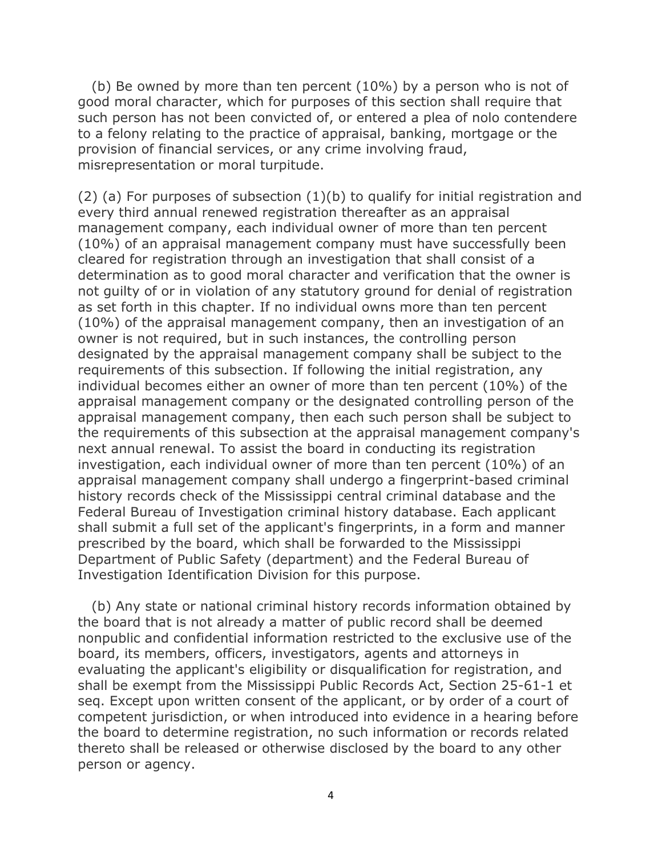(b) Be owned by more than ten percent (10%) by a person who is not of good moral character, which for purposes of this section shall require that such person has not been convicted of, or entered a plea of nolo contendere to a felony relating to the practice of appraisal, banking, mortgage or the provision of financial services, or any crime involving fraud, misrepresentation or moral turpitude.

(2) (a) For purposes of subsection  $(1)(b)$  to qualify for initial registration and every third annual renewed registration thereafter as an appraisal management company, each individual owner of more than ten percent (10%) of an appraisal management company must have successfully been cleared for registration through an investigation that shall consist of a determination as to good moral character and verification that the owner is not guilty of or in violation of any statutory ground for denial of registration as set forth in this chapter. If no individual owns more than ten percent (10%) of the appraisal management company, then an investigation of an owner is not required, but in such instances, the controlling person designated by the appraisal management company shall be subject to the requirements of this subsection. If following the initial registration, any individual becomes either an owner of more than ten percent (10%) of the appraisal management company or the designated controlling person of the appraisal management company, then each such person shall be subject to the requirements of this subsection at the appraisal management company's next annual renewal. To assist the board in conducting its registration investigation, each individual owner of more than ten percent (10%) of an appraisal management company shall undergo a fingerprint-based criminal history records check of the Mississippi central criminal database and the Federal Bureau of Investigation criminal history database. Each applicant shall submit a full set of the applicant's fingerprints, in a form and manner prescribed by the board, which shall be forwarded to the Mississippi Department of Public Safety (department) and the Federal Bureau of Investigation Identification Division for this purpose.

 (b) Any state or national criminal history records information obtained by the board that is not already a matter of public record shall be deemed nonpublic and confidential information restricted to the exclusive use of the board, its members, officers, investigators, agents and attorneys in evaluating the applicant's eligibility or disqualification for registration, and shall be exempt from the Mississippi Public Records Act, Section 25-61-1 et seq. Except upon written consent of the applicant, or by order of a court of competent jurisdiction, or when introduced into evidence in a hearing before the board to determine registration, no such information or records related thereto shall be released or otherwise disclosed by the board to any other person or agency.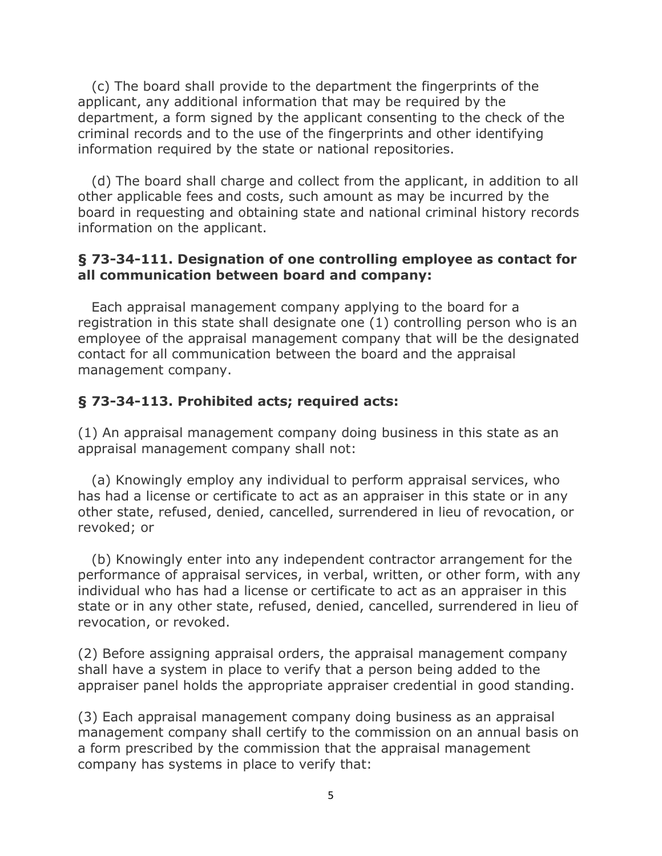(c) The board shall provide to the department the fingerprints of the applicant, any additional information that may be required by the department, a form signed by the applicant consenting to the check of the criminal records and to the use of the fingerprints and other identifying information required by the state or national repositories.

 (d) The board shall charge and collect from the applicant, in addition to all other applicable fees and costs, such amount as may be incurred by the board in requesting and obtaining state and national criminal history records information on the applicant.

#### **§ 73-34-111. Designation of one controlling employee as contact for all communication between board and company:**

 Each appraisal management company applying to the board for a registration in this state shall designate one (1) controlling person who is an employee of the appraisal management company that will be the designated contact for all communication between the board and the appraisal management company.

## **§ 73-34-113. Prohibited acts; required acts:**

(1) An appraisal management company doing business in this state as an appraisal management company shall not:

 (a) Knowingly employ any individual to perform appraisal services, who has had a license or certificate to act as an appraiser in this state or in any other state, refused, denied, cancelled, surrendered in lieu of revocation, or revoked; or

 (b) Knowingly enter into any independent contractor arrangement for the performance of appraisal services, in verbal, written, or other form, with any individual who has had a license or certificate to act as an appraiser in this state or in any other state, refused, denied, cancelled, surrendered in lieu of revocation, or revoked.

(2) Before assigning appraisal orders, the appraisal management company shall have a system in place to verify that a person being added to the appraiser panel holds the appropriate appraiser credential in good standing.

(3) Each appraisal management company doing business as an appraisal management company shall certify to the commission on an annual basis on a form prescribed by the commission that the appraisal management company has systems in place to verify that: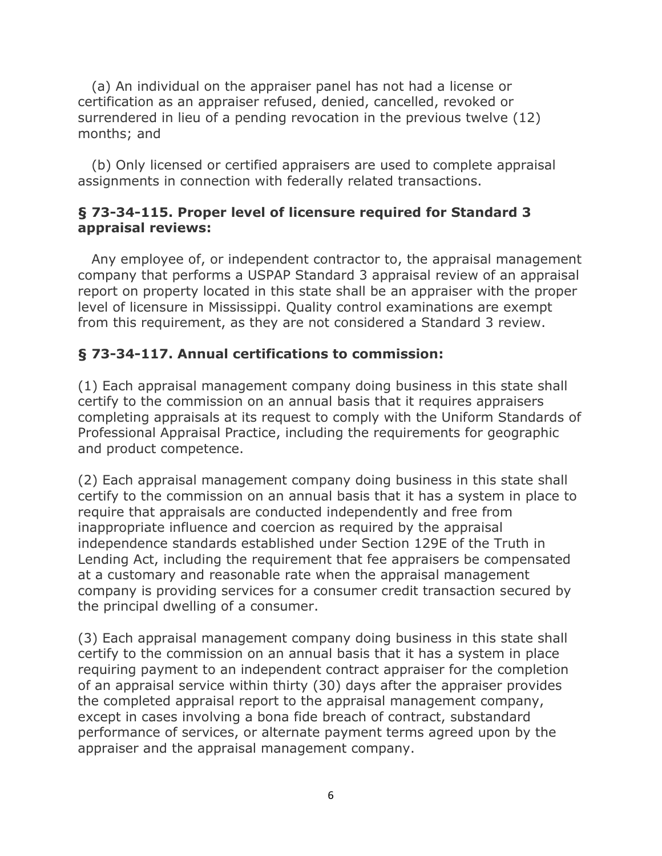(a) An individual on the appraiser panel has not had a license or certification as an appraiser refused, denied, cancelled, revoked or surrendered in lieu of a pending revocation in the previous twelve (12) months; and

 (b) Only licensed or certified appraisers are used to complete appraisal assignments in connection with federally related transactions.

## **§ 73-34-115. Proper level of licensure required for Standard 3 appraisal reviews:**

 Any employee of, or independent contractor to, the appraisal management company that performs a USPAP Standard 3 appraisal review of an appraisal report on property located in this state shall be an appraiser with the proper level of licensure in Mississippi. Quality control examinations are exempt from this requirement, as they are not considered a Standard 3 review.

# **§ 73-34-117. Annual certifications to commission:**

(1) Each appraisal management company doing business in this state shall certify to the commission on an annual basis that it requires appraisers completing appraisals at its request to comply with the Uniform Standards of Professional Appraisal Practice, including the requirements for geographic and product competence.

(2) Each appraisal management company doing business in this state shall certify to the commission on an annual basis that it has a system in place to require that appraisals are conducted independently and free from inappropriate influence and coercion as required by the appraisal independence standards established under Section 129E of the Truth in Lending Act, including the requirement that fee appraisers be compensated at a customary and reasonable rate when the appraisal management company is providing services for a consumer credit transaction secured by the principal dwelling of a consumer.

(3) Each appraisal management company doing business in this state shall certify to the commission on an annual basis that it has a system in place requiring payment to an independent contract appraiser for the completion of an appraisal service within thirty (30) days after the appraiser provides the completed appraisal report to the appraisal management company, except in cases involving a bona fide breach of contract, substandard performance of services, or alternate payment terms agreed upon by the appraiser and the appraisal management company.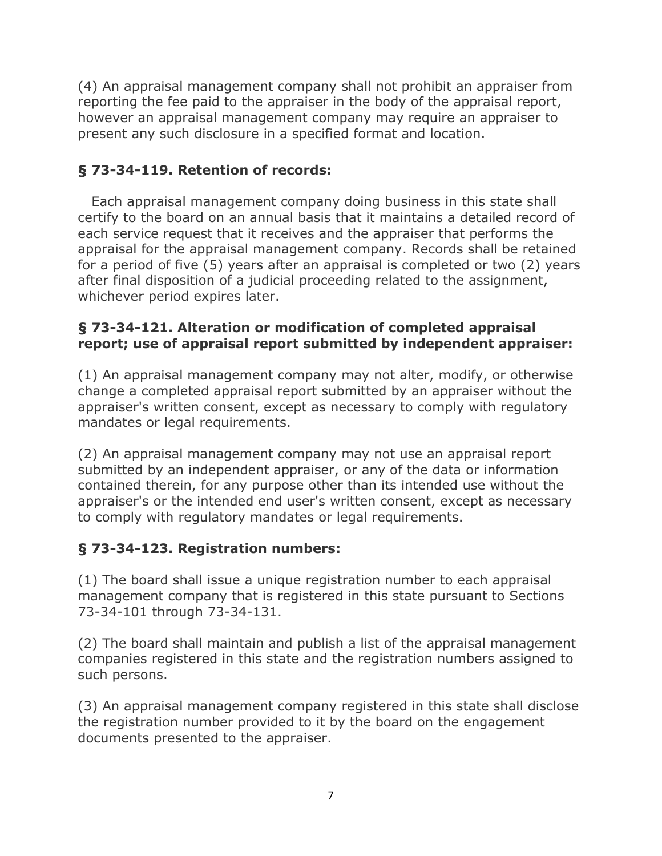(4) An appraisal management company shall not prohibit an appraiser from reporting the fee paid to the appraiser in the body of the appraisal report, however an appraisal management company may require an appraiser to present any such disclosure in a specified format and location.

# **§ 73-34-119. Retention of records:**

 Each appraisal management company doing business in this state shall certify to the board on an annual basis that it maintains a detailed record of each service request that it receives and the appraiser that performs the appraisal for the appraisal management company. Records shall be retained for a period of five (5) years after an appraisal is completed or two (2) years after final disposition of a judicial proceeding related to the assignment, whichever period expires later.

## **§ 73-34-121. Alteration or modification of completed appraisal report; use of appraisal report submitted by independent appraiser:**

(1) An appraisal management company may not alter, modify, or otherwise change a completed appraisal report submitted by an appraiser without the appraiser's written consent, except as necessary to comply with regulatory mandates or legal requirements.

(2) An appraisal management company may not use an appraisal report submitted by an independent appraiser, or any of the data or information contained therein, for any purpose other than its intended use without the appraiser's or the intended end user's written consent, except as necessary to comply with regulatory mandates or legal requirements.

# **§ 73-34-123. Registration numbers:**

(1) The board shall issue a unique registration number to each appraisal management company that is registered in this state pursuant to Sections 73-34-101 through 73-34-131.

(2) The board shall maintain and publish a list of the appraisal management companies registered in this state and the registration numbers assigned to such persons.

(3) An appraisal management company registered in this state shall disclose the registration number provided to it by the board on the engagement documents presented to the appraiser.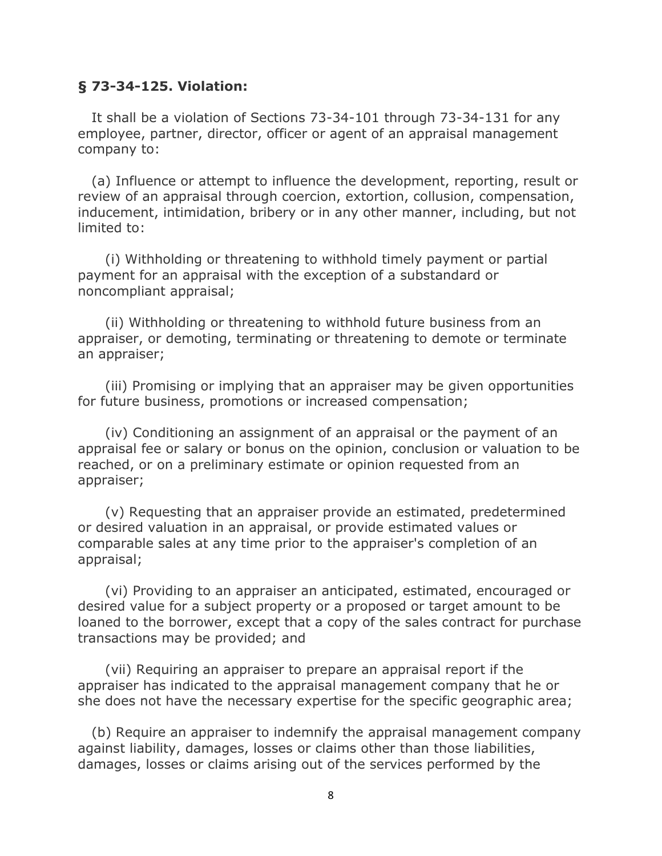#### **§ 73-34-125. Violation:**

 It shall be a violation of Sections 73-34-101 through 73-34-131 for any employee, partner, director, officer or agent of an appraisal management company to:

 (a) Influence or attempt to influence the development, reporting, result or review of an appraisal through coercion, extortion, collusion, compensation, inducement, intimidation, bribery or in any other manner, including, but not limited to:

 (i) Withholding or threatening to withhold timely payment or partial payment for an appraisal with the exception of a substandard or noncompliant appraisal;

 (ii) Withholding or threatening to withhold future business from an appraiser, or demoting, terminating or threatening to demote or terminate an appraiser;

 (iii) Promising or implying that an appraiser may be given opportunities for future business, promotions or increased compensation;

 (iv) Conditioning an assignment of an appraisal or the payment of an appraisal fee or salary or bonus on the opinion, conclusion or valuation to be reached, or on a preliminary estimate or opinion requested from an appraiser;

 (v) Requesting that an appraiser provide an estimated, predetermined or desired valuation in an appraisal, or provide estimated values or comparable sales at any time prior to the appraiser's completion of an appraisal;

 (vi) Providing to an appraiser an anticipated, estimated, encouraged or desired value for a subject property or a proposed or target amount to be loaned to the borrower, except that a copy of the sales contract for purchase transactions may be provided; and

 (vii) Requiring an appraiser to prepare an appraisal report if the appraiser has indicated to the appraisal management company that he or she does not have the necessary expertise for the specific geographic area;

 (b) Require an appraiser to indemnify the appraisal management company against liability, damages, losses or claims other than those liabilities, damages, losses or claims arising out of the services performed by the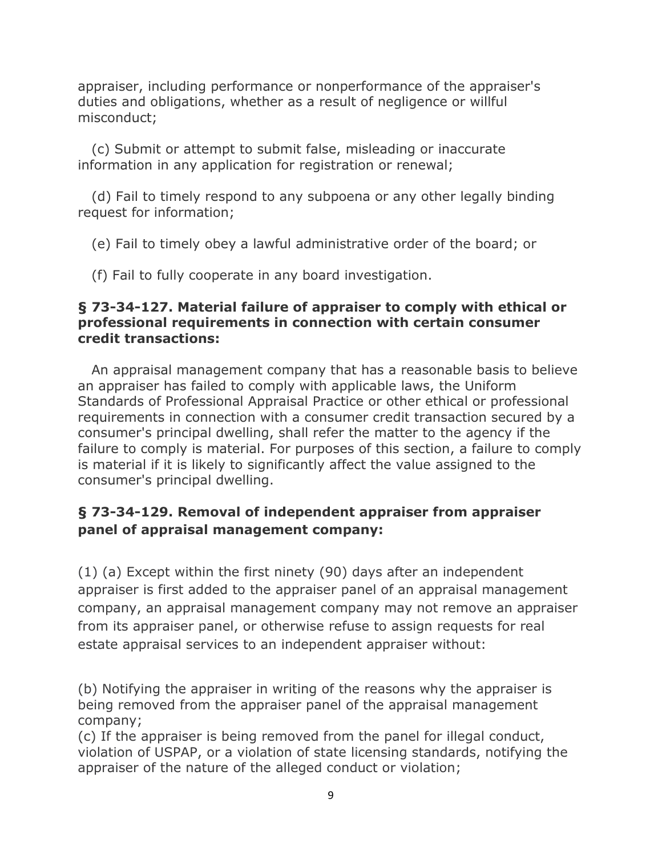appraiser, including performance or nonperformance of the appraiser's duties and obligations, whether as a result of negligence or willful misconduct;

 (c) Submit or attempt to submit false, misleading or inaccurate information in any application for registration or renewal;

 (d) Fail to timely respond to any subpoena or any other legally binding request for information;

(e) Fail to timely obey a lawful administrative order of the board; or

(f) Fail to fully cooperate in any board investigation.

#### **§ 73-34-127. Material failure of appraiser to comply with ethical or professional requirements in connection with certain consumer credit transactions:**

 An appraisal management company that has a reasonable basis to believe an appraiser has failed to comply with applicable laws, the Uniform Standards of Professional Appraisal Practice or other ethical or professional requirements in connection with a consumer credit transaction secured by a consumer's principal dwelling, shall refer the matter to the agency if the failure to comply is material. For purposes of this section, a failure to comply is material if it is likely to significantly affect the value assigned to the consumer's principal dwelling.

# **§ 73-34-129. Removal of independent appraiser from appraiser panel of appraisal management company:**

(1) (a) Except within the first ninety (90) days after an independent appraiser is first added to the appraiser panel of an appraisal management company, an appraisal management company may not remove an appraiser from its appraiser panel, or otherwise refuse to assign requests for real estate appraisal services to an independent appraiser without:

(b) Notifying the appraiser in writing of the reasons why the appraiser is being removed from the appraiser panel of the appraisal management company;

(c) If the appraiser is being removed from the panel for illegal conduct, violation of USPAP, or a violation of state licensing standards, notifying the appraiser of the nature of the alleged conduct or violation;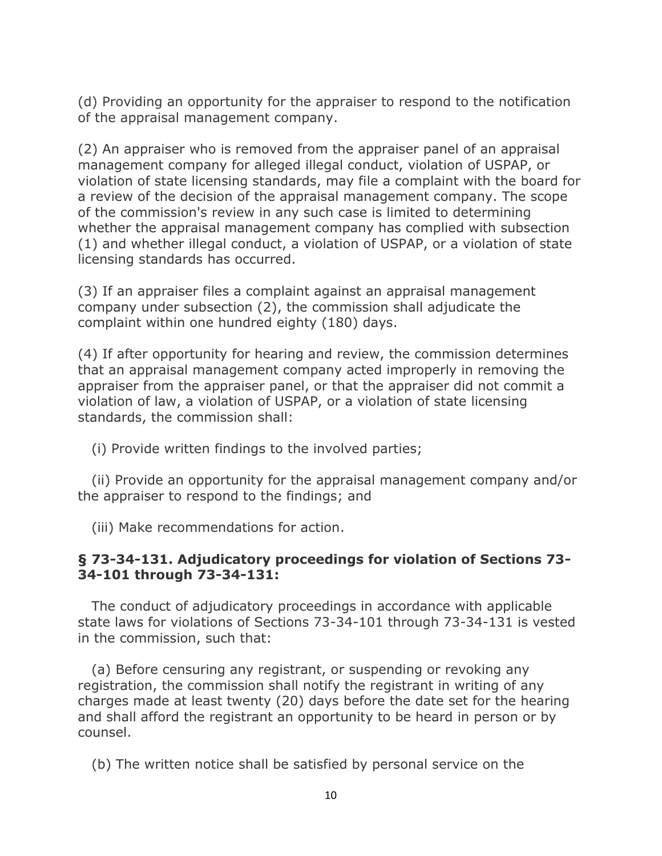(d) Providing an opportunity for the appraiser to respond to the notification of the appraisal management company.

(2) An appraiser who is removed from the appraiser panel of an appraisal management company for alleged illegal conduct, violation of USPAP, or violation of state licensing standards, may file a complaint with the board for a review of the decision of the appraisal management company. The scope of the commission's review in any such case is limited to determining whether the appraisal management company has complied with subsection (1) and whether illegal conduct, a violation of USPAP, or a violation of state licensing standards has occurred.

(3) If an appraiser files a complaint against an appraisal management company under subsection (2), the commission shall adjudicate the complaint within one hundred eighty (180) days.

(4) If after opportunity for hearing and review, the commission determines that an appraisal management company acted improperly in removing the appraiser from the appraiser panel, or that the appraiser did not commit a violation of law, a violation of USPAP, or a violation of state licensing standards, the commission shall:

(i) Provide written findings to the involved parties;

 (ii) Provide an opportunity for the appraisal management company and/or the appraiser to respond to the findings; and

(iii) Make recommendations for action.

#### **§ 73-34-131. Adjudicatory proceedings for violation of Sections 73- 34-101 through 73-34-131:**

 The conduct of adjudicatory proceedings in accordance with applicable state laws for violations of Sections 73-34-101 through 73-34-131 is vested in the commission, such that:

 (a) Before censuring any registrant, or suspending or revoking any registration, the commission shall notify the registrant in writing of any charges made at least twenty (20) days before the date set for the hearing and shall afford the registrant an opportunity to be heard in person or by counsel.

(b) The written notice shall be satisfied by personal service on the